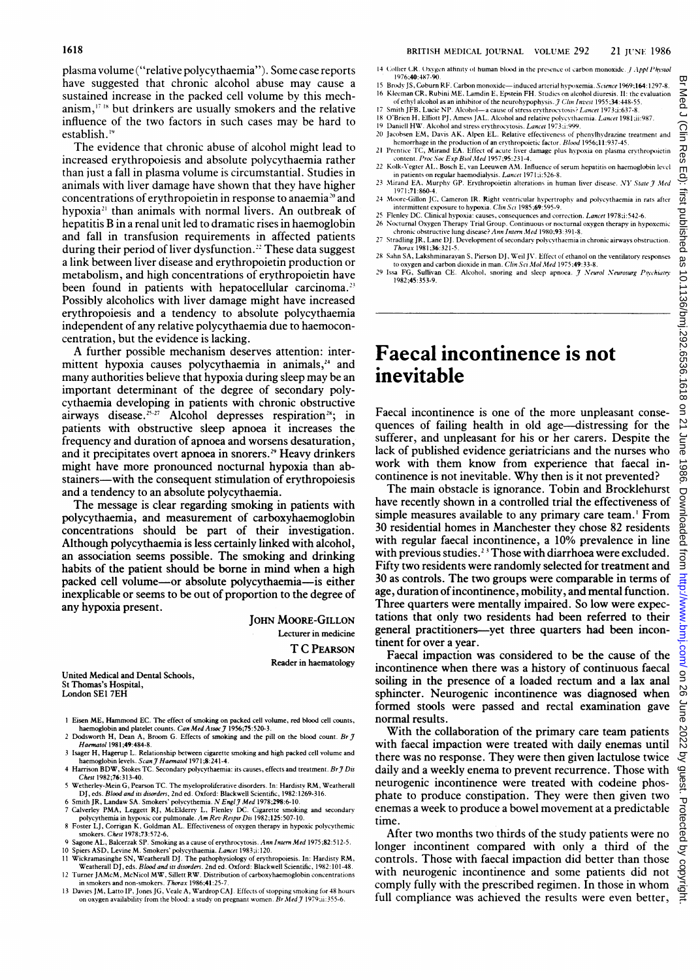The evidence that chronic abuse of alcohol might lead to increased erythropoiesis and absolute polycythaemia rather than just a fall in plasma volume is circumstantial. Studies in animals with liver damage have shown that they have higher concentrations of erythropoietin in response to anaemia<sup>20</sup> and hypoxia<sup>21</sup> than animals with normal livers. An outbreak of hepatitis B in <sup>a</sup> renal unit led to dramatic rises in haemoglobin and fall in transfusion requirements in affected patients during their period of liver dysfunction.<sup>22</sup> These data suggest a link between liver disease and erythropoietin production or metabolism, and high concentrations of erythropoietin have been found in patients with hepatocellular carcinoma.<sup>23</sup> Possibly alcoholics with liver damage might have increased erythropoiesis and a tendency to absolute polycythaemia independent of any relative polycythaemia due to haemoconcentration, but the evidence is lacking.

A further possible mechanism deserves attention: intermittent hypoxia causes polycythaemia in animals, $24$  and many authorities believe that hypoxia during sleep may be an important determinant of the degree of secondary polycythaemia developing in patients with chronic obstructive airways disease.<sup>25-27</sup> Alcohol depresses respiration<sup>28</sup>; in patients with obstructive sleep apnoea it increases the frequency and duration of apnoea and worsens desaturation, and it precipitates overt apnoea in snorers.<sup>29</sup> Heavy drinkers might have more pronounced nocturnal hypoxia than abstainers--with the consequent stimulation of erythropoiesis and a tendency to an absolute polycythaemia.

The message is clear regarding smoking in patients with polycythaemia, and measurement of carboxyhaemoglobin concentrations should be part of their investigation. Although polycythaemia is less certainly linked with alcohol, an association seems possible. The smoking and drinking habits of the patient should be borne in mind when a high packed cell volume-or absolute polycythaemia-is either inexplicable or seems to be out of proportion to the degree of any hypoxia present.

> JOHN MOORE-GILLON Lecturer in medicine T C PEARSON Reader in haematology

United Medical and Dental Schools, St Thomas's Hospital, London SEI 7EH

- 1 Eisen ME, Hammond EC. The effect of smoking on packed cell volume, red blood cell counts, haemoglobin and platelet counts. *Can Med Assoc J* 1956;75:520-3.<br>2 Dodsworth H, Dean A, Broom G. Effects of smoking and the pill on the blood count. *Br*
- Haematol 1981;49:484-8.
- 3 Isager H, Hagerup L. Relationship between cigarette smoking and high packed cell volume and<br>haemoglobin levels. S*can J Haematol* 1971;8:241-4.<br>4 Harrison BDW, Stokes TC. Secondary polycythaemia: its causes, effects and
- Chest 1982;76:313-40. <sup>5</sup> Wetherley-Mein G, Pearson TC. The myeloproliferative disorders. In: Hardisty RM, Weatherall
- DJ, eds. *Blood and its disorders*, 2nd ed. Oxford: Blackwell Scientific, 1982:1269-316.<br>6 Smith JR, Landaw SA. Smokers' polycythemia. *N Engl J Med* 1978;298:6-10.
- 
- 7 Calverley PMA, Leggett RJ, McElderry L, Flenley DC. Cigarette smoking and secondary polycythernia in hypoxic cor pulmonale.  $Am Rev Respir Dis 1982;125:507-10$ .<br>8 Foster LJ, Corrigan K, Goldman AL. Effectiveness of oxygen therapy i
- 9 Sagone AL, Balcerzak SP. Smoking as a cause of erythrocytosis. Ann Intern Med 1975;82:512-5.<br>10 Spiess ASD, Levine M. Smokers' polycythaemia. *Lancet* 1983;i:120.<br>11 Wickramasinghe SN, Weatherall DJ. The pathophysiology
- <sup>12</sup> Turner JAMcM, McNicol MW, Siilett RW. Distribution of carboxyhaemoglobin concentrations in smokers and non-smokers. Thorax 1986;41:25-
- <sup>13</sup> Davies JM, Latto IP, Jones IG, Veale A, Wardrop CAJ. Effects of stopping smoking for 48 hours on oxygen availability from the blood: a study on pregnant women. Br Med J 1979;ii:355-6.
- 14 Collier CR. Oxygen atfinity of human blood in the presence of carbon monoxide.  $j$  Appl Physiol 1976;40:487-90.
- 15 Brody JS, Coburn RF. Carbon monoxide-induced arterial hypoxemia. Science 1969;164: 1297-8. 16 Kleeman CR, Rubini ME, Lamdin E, Epstein FH. Studies on alcohol diuresis. II: the evaluation of ethyl alcohol as an inhibitor of the neurohypophysis. *J Clin Invest* 1955;34:448-55.
- 17 Smith JFB, Lucie NP. Alcohol-a cause of stress erythrocytosis? Lancet 1973;i:637-8.
- 18 O'Brien H, Elfiott PJ, Amess JAL. Alcohol and relative polycythaemia. Lancet 1981;ii:987.
- 19 Daniell HW. Alcohol and stress erythrocytosis. *Lancet* 1973;i:999.<br>20 Jacobsen EM, Davis AK, Alpen EL. Relative effectiveness of phenylhydrazine treatment and
- hemorrhage in the production of an erythropoietic factor. Blood 1956;11:937-45
- 21 Prentice TC, Mirand EA. Effect of acute liver damage plus hypoxia on plasma erythropoietin<br>content. Proc Soc Exp Biol Med 1957;95:231-4.<br>22 Kolk-Vegter AL, Bosch E, van Leeuwen AM. Influence of serum hepatitis on haemog in patients on regular haemodialysis. Lancet 1971;i:526-8.
- 23 Mirand EA, Murphy GP. Erythropoietin alterations in human liver disease. NY State  $\mathcal J$  Med 1971 ;71:860-4.
- 
- 24 Moore-Gillon JC, Cameron IR. Right ventricular hypertrophy and polycythaemia in rats after<br>- intermittent exposure to hypoxia. *Clin Sci* 1985;69:99:9.<br>25 Flenley DC. Clinical hypoxia: causes, consequences and correctio
- 26 Nocturnal Oxygen Therapy Trial Group. Continuous or nocturnal oxygen therapy in hypoxemic<br>chronic obstructive lung disease? Ann Intern Med 1980;93:391-8.
- 27 Stradling JR, Lane DJ. Development of secondary polycythaemia in chronic airways obstruction.  $(1981; 36:321 - 5.5)$ 28 Sahn SA, Lakshminarayan S, Pierson DJ, Weil IV. Effect of ethanol on the ventilatory responses
- to oxygen and carbon dioxide in man. Clin Sci Mol Med 1975;49:33-8.
- 29 Issa FG, Sullivan CE. Alcohol, snoring and sleep apnoea. J Neurol Neurosurg Psychiatry 1982;45:353-9.

## Faecal incontinence is not inevitable

Faecal incontinence is one of the more unpleasant consequences of failing health in old age-distressing for the sufferer, and unpleasant for his or her carers. Despite the lack of published evidence geriatricians and the nurses who work with them know from experience that faecal incontinence is not inevitable. Why then is it not prevented?

The main obstacle is ignorance. Tobin and Brocklehurst have recently shown in a controlled trial the effectiveness of simple measures available to any primary care team.<sup>1</sup> From 30 residential homes in Manchester they chose 82 residents with regular faecal incontinence, a 10% prevalence in line with previous studies.<sup>23</sup> Those with diarrhoea were excluded. Fifty two residents were randomly selected for treatment and 30 as controls. The two groups were comparable in terms of age, duration of incontinence, mobility, and mental function. Three quarters were mentally impaired. So low were expectations that only two residents had been referred to their general practitioners-yet three quarters had been incontinent for over a year.

Faecal impaction was considered to be the cause of the incontinence when there was a history of continuous faecal soiling in the presence of a loaded rectum and a lax anal sphincter. Neurogenic incontinence was diagnosed when formed stools were passed and rectal examination gave normal results.

With the collaboration of the primary care team patients with faecal impaction were treated with daily enemas until there was no response. They were then given lactulose twice daily and a weekly enema to prevent recurrence. Those with neurogenic incontinence were treated with codeine phosphate to produce constipation. They were then given two enemas a week to produce a bowel movement at a predictable time.

After two months two thirds of the study patients were no longer incontinent compared with only a third of the controls. Those with faecal impaction did better than those with neurogenic incontinence and some patients did not comply fully with the prescribed regimen. In those in whom full compliance was achieved the results were even better,

on 26 June 2022 by guest. Protected by copyright. Hotels as 10.1136/bmj.292.6536.1618 on 21 June 1986. Downloaded from <http://www.bmj.com/> on 26 June 2022 or 2018 on 21 June 1986. Downloaded from http://www.bmj.com/ on 26

Downloaded

from I

http://www.bmj

com/  $\overline{a}$ 50 June

2022

by guest. Protected

्ट

copyright

1986.

Med J

Clin Res Edi irs ᅙ ublished

9S

10.1136/bmj.292.6536.1618

9D  $\overline{z}$ | June